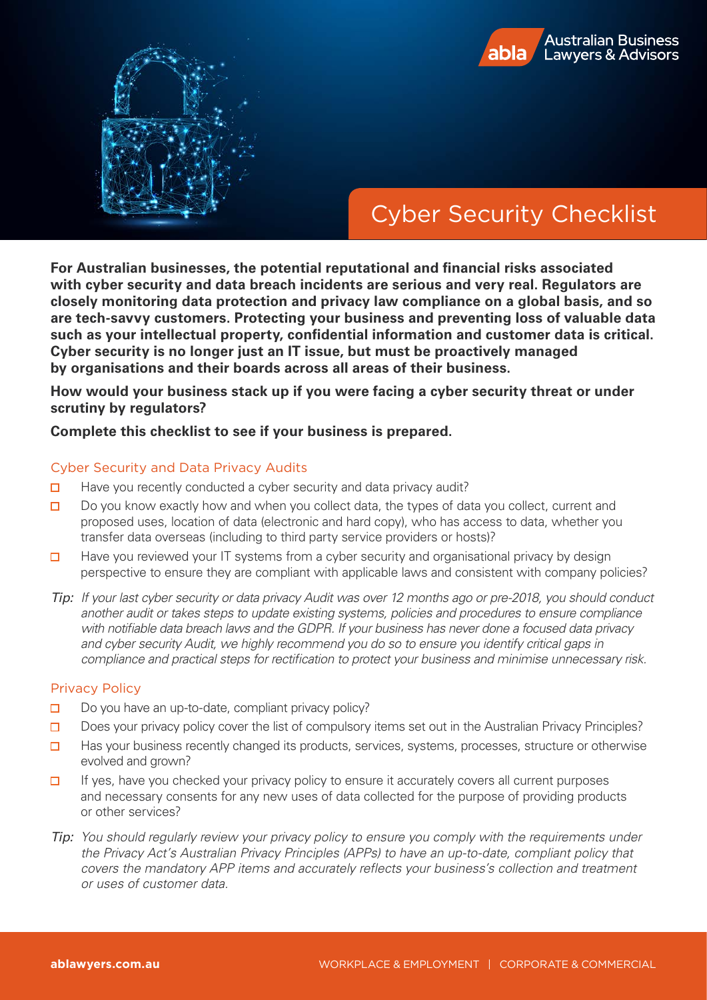

# Cyber Security Checklist

abla

**Nustralian Business** 

**Lawvers & Advisors** 

**For Australian businesses, the potential reputational and financial risks associated with cyber security and data breach incidents are serious and very real. Regulators are closely monitoring data protection and privacy law compliance on a global basis, and so are tech-savvy customers. Protecting your business and preventing loss of valuable data such as your intellectual property, confidential information and customer data is critical. Cyber security is no longer just an IT issue, but must be proactively managed by organisations and their boards across all areas of their business.**

**How would your business stack up if you were facing a cyber security threat or under scrutiny by regulators?** 

# **Complete this checklist to see if your business is prepared.**

# Cyber Security and Data Privacy Audits

- Have you recently conducted a cyber security and data privacy audit?  $\Box$
- Do you know exactly how and when you collect data, the types of data you collect, current and  $\Box$ proposed uses, location of data (electronic and hard copy), who has access to data, whether you transfer data overseas (including to third party service providers or hosts)?
- Have you reviewed your IT systems from a cyber security and organisational privacy by design  $\Box$ perspective to ensure they are compliant with applicable laws and consistent with company policies?
- *Tip: If your last cyber security or data privacy Audit was over 12 months ago or pre-2018, you should conduct another audit or takes steps to update existing systems, policies and procedures to ensure compliance with notifiable data breach laws and the GDPR. If your business has never done a focused data privacy and cyber security Audit, we highly recommend you do so to ensure you identify critical gaps in compliance and practical steps for rectification to protect your business and minimise unnecessary risk.*

# Privacy Policy

- Do you have an up-to-date, compliant privacy policy?  $\Box$
- Does your privacy policy cover the list of compulsory items set out in the Australian Privacy Principles?  $\Box$
- $\Box$ Has your business recently changed its products, services, systems, processes, structure or otherwise evolved and grown?
- If yes, have you checked your privacy policy to ensure it accurately covers all current purposes  $\Box$ and necessary consents for any new uses of data collected for the purpose of providing products or other services?
- *Tip: You should regularly review your privacy policy to ensure you comply with the requirements under the Privacy Act's Australian Privacy Principles (APPs) to have an up-to-date, compliant policy that covers the mandatory APP items and accurately reflects your business's collection and treatment or uses of customer data.*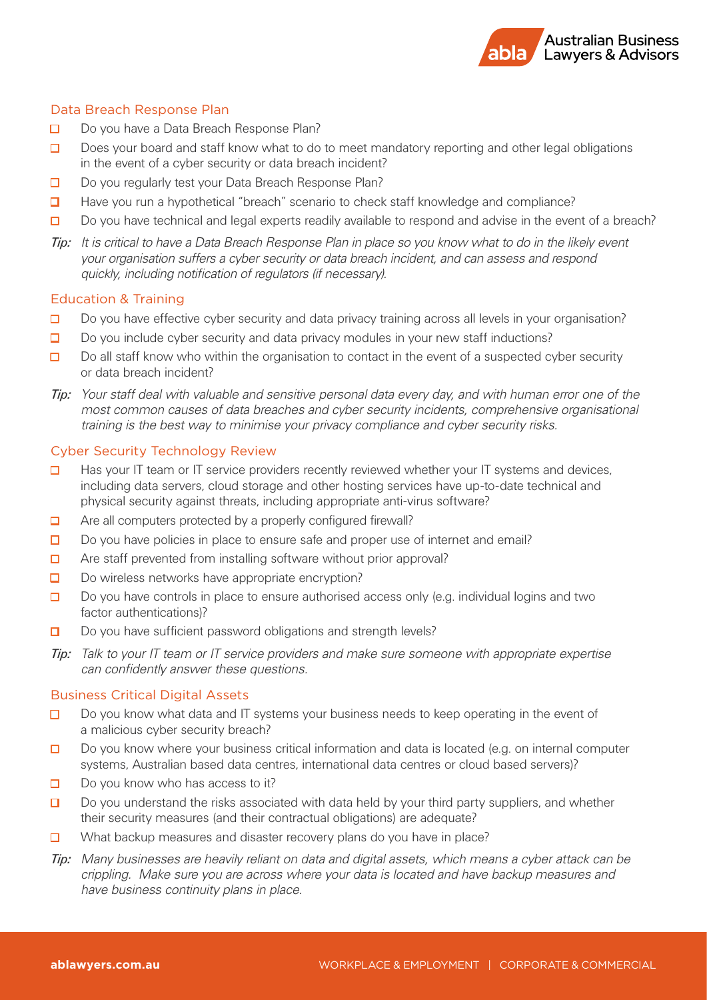#### Data Breach Response Plan

- $\Box$ Do you have a Data Breach Response Plan?
- $\Box$ Does your board and staff know what to do to meet mandatory reporting and other legal obligations in the event of a cyber security or data breach incident?
- $\Box$ Do you regularly test your Data Breach Response Plan?
- $\Box$ Have you run a hypothetical "breach" scenario to check staff knowledge and compliance?
- Do you have technical and legal experts readily available to respond and advise in the event of a breach?  $\Box$
- *Tip: It is critical to have a Data Breach Response Plan in place so you know what to do in the likely event your organisation suffers a cyber security or data breach incident, and can assess and respond quickly, including notification of regulators (if necessary).*

#### Education & Training

- $\Box$ Do you have effective cyber security and data privacy training across all levels in your organisation?
- $\Box$ Do you include cyber security and data privacy modules in your new staff inductions?
- Do all staff know who within the organisation to contact in the event of a suspected cyber security  $\Box$ or data breach incident?
- *Tip: Your staff deal with valuable and sensitive personal data every day, and with human error one of the most common causes of data breaches and cyber security incidents, comprehensive organisational training is the best way to minimise your privacy compliance and cyber security risks.*

#### Cyber Security Technology Review

- $\Box$ Has your IT team or IT service providers recently reviewed whether your IT systems and devices, including data servers, cloud storage and other hosting services have up-to-date technical and physical security against threats, including appropriate anti-virus software?
- $\Box$ Are all computers protected by a properly configured firewall?
- $\Box$ Do you have policies in place to ensure safe and proper use of internet and email?
- $\Box$ Are staff prevented from installing software without prior approval?
- $\Box$ Do wireless networks have appropriate encryption?
- $\Box$ Do you have controls in place to ensure authorised access only (e.g. individual logins and two factor authentications)?
- Do you have sufficient password obligations and strength levels?  $\Box$
- *Tip: Talk to your IT team or IT service providers and make sure someone with appropriate expertise can confidently answer these questions.*

#### Business Critical Digital Assets

- $\Box$ Do you know what data and IT systems your business needs to keep operating in the event of a malicious cyber security breach?
- $\Box$ Do you know where your business critical information and data is located (e.g. on internal computer systems, Australian based data centres, international data centres or cloud based servers)?
- $\Box$ Do you know who has access to it?
- $\Box$ Do you understand the risks associated with data held by your third party suppliers, and whether their security measures (and their contractual obligations) are adequate?
- What backup measures and disaster recovery plans do you have in place?  $\Box$
- *Tip: Many businesses are heavily reliant on data and digital assets, which means a cyber attack can be crippling. Make sure you are across where your data is located and have backup measures and have business continuity plans in place.*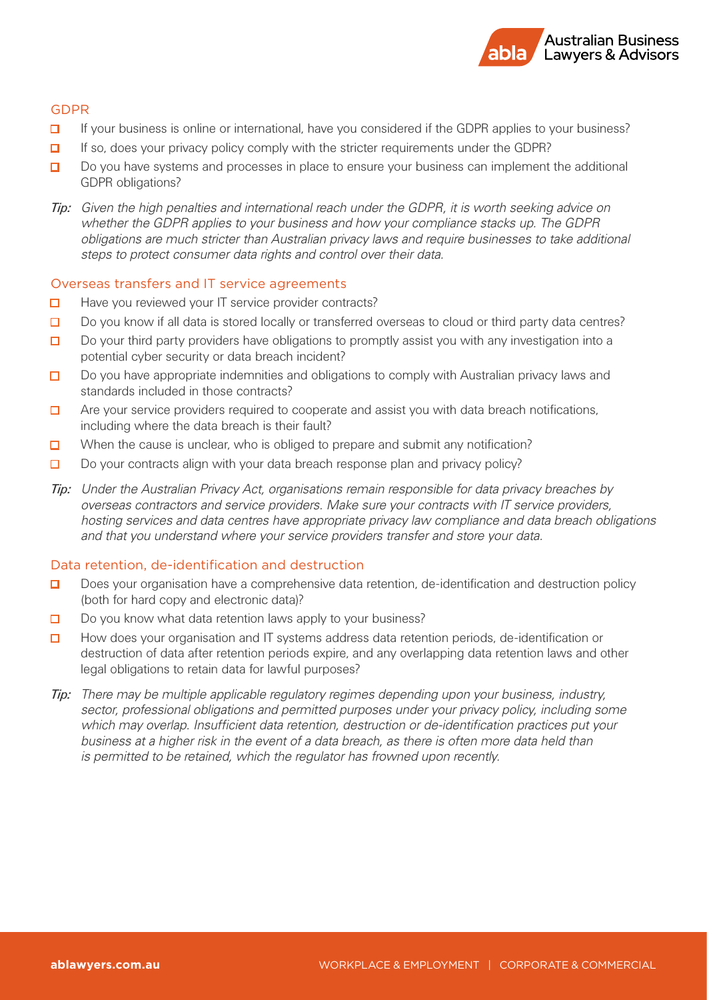#### GDPR

- $\Box$ If your business is online or international, have you considered if the GDPR applies to your business?
- $\Box$ If so, does your privacy policy comply with the stricter requirements under the GDPR?
- $\Box$ Do you have systems and processes in place to ensure your business can implement the additional GDPR obligations?
- *Tip: Given the high penalties and international reach under the GDPR, it is worth seeking advice on whether the GDPR applies to your business and how your compliance stacks up. The GDPR obligations are much stricter than Australian privacy laws and require businesses to take additional steps to protect consumer data rights and control over their data.*

# Overseas transfers and IT service agreements

- $\Box$ Have you reviewed your IT service provider contracts?
- $\Box$ Do you know if all data is stored locally or transferred overseas to cloud or third party data centres?
- $\Box$ Do your third party providers have obligations to promptly assist you with any investigation into a potential cyber security or data breach incident?
- $\Box$ Do you have appropriate indemnities and obligations to comply with Australian privacy laws and standards included in those contracts?
- $\Box$ Are your service providers required to cooperate and assist you with data breach notifications, including where the data breach is their fault?
- $\Box$ When the cause is unclear, who is obliged to prepare and submit any notification?
- $\Box$ Do your contracts align with your data breach response plan and privacy policy?
- *Tip: Under the Australian Privacy Act, organisations remain responsible for data privacy breaches by overseas contractors and service providers. Make sure your contracts with IT service providers, hosting services and data centres have appropriate privacy law compliance and data breach obligations and that you understand where your service providers transfer and store your data.*

#### Data retention, de-identification and destruction

- $\Box$ Does your organisation have a comprehensive data retention, de-identification and destruction policy (both for hard copy and electronic data)?
- $\Box$ Do you know what data retention laws apply to your business?
- $\Box$ How does your organisation and IT systems address data retention periods, de-identification or destruction of data after retention periods expire, and any overlapping data retention laws and other legal obligations to retain data for lawful purposes?
- *Tip: There may be multiple applicable regulatory regimes depending upon your business, industry, sector, professional obligations and permitted purposes under your privacy policy, including some which may overlap. Insufficient data retention, destruction or de-identification practices put your business at a higher risk in the event of a data breach, as there is often more data held than is permitted to be retained, which the regulator has frowned upon recently.*